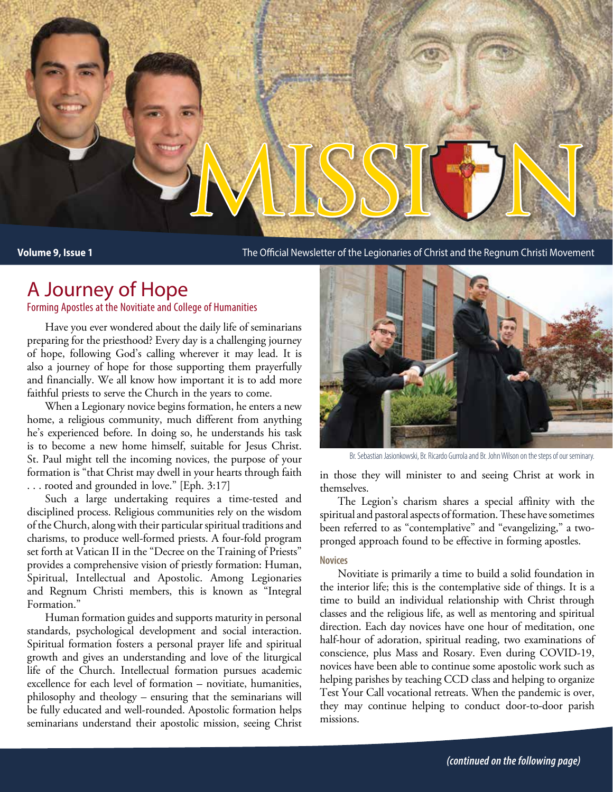

**Volume 9, Issue 1** The Official Newsletter of the Legionaries of Christ and the Regnum Christi Movement

## A Journey of Hope

Forming Apostles at the Novitiate and College of Humanities

Have you ever wondered about the daily life of seminarians preparing for the priesthood? Every day is a challenging journey of hope, following God's calling wherever it may lead. It is also a journey of hope for those supporting them prayerfully and financially. We all know how important it is to add more faithful priests to serve the Church in the years to come.

When a Legionary novice begins formation, he enters a new home, a religious community, much different from anything he's experienced before. In doing so, he understands his task is to become a new home himself, suitable for Jesus Christ. St. Paul might tell the incoming novices, the purpose of your formation is "that Christ may dwell in your hearts through faith . . . rooted and grounded in love." [Eph. 3:17]

Such a large undertaking requires a time-tested and disciplined process. Religious communities rely on the wisdom of the Church, along with their particular spiritual traditions and charisms, to produce well-formed priests. A four-fold program set forth at Vatican II in the "Decree on the Training of Priests" provides a comprehensive vision of priestly formation: Human, Spiritual, Intellectual and Apostolic. Among Legionaries and Regnum Christi members, this is known as "Integral Formation."

Human formation guides and supports maturity in personal standards, psychological development and social interaction. Spiritual formation fosters a personal prayer life and spiritual growth and gives an understanding and love of the liturgical life of the Church. Intellectual formation pursues academic excellence for each level of formation – novitiate, humanities, philosophy and theology – ensuring that the seminarians will be fully educated and well-rounded. Apostolic formation helps seminarians understand their apostolic mission, seeing Christ



Br. Sebastian Jasionkowski, Br. Ricardo Gurrola and Br. John Wilson on the steps of our seminary.

in those they will minister to and seeing Christ at work in themselves.

The Legion's charism shares a special affinity with the spiritual and pastoral aspects of formation. These have sometimes been referred to as "contemplative" and "evangelizing," a twopronged approach found to be effective in forming apostles.

### **Novices**

Novitiate is primarily a time to build a solid foundation in the interior life; this is the contemplative side of things. It is a time to build an individual relationship with Christ through classes and the religious life, as well as mentoring and spiritual direction. Each day novices have one hour of meditation, one half-hour of adoration, spiritual reading, two examinations of conscience, plus Mass and Rosary. Even during COVID-19, novices have been able to continue some apostolic work such as helping parishes by teaching CCD class and helping to organize Test Your Call vocational retreats. When the pandemic is over, they may continue helping to conduct door-to-door parish missions.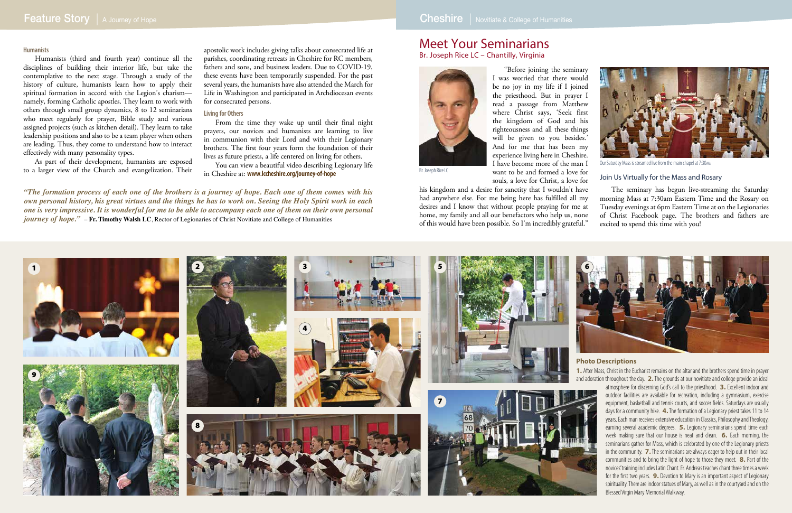## Feature Story | A Journey of Hope Cheshire | Novitiate & College of Humanities

## Meet Your Seminarians

Br. Joseph Rice LC – Chantilly, Virginia

"Before joining the seminary I was worried that there would be no joy in my life if I joined the priesthood. But in prayer I read a passage from Matthew where Christ says, 'Seek first the kingdom of God and his righteousness and all these things will be given to you besides.' And for me that has been my experience living here in Cheshire. I have become more of the man I want to be and formed a love for souls, a love for Christ, a love for

his kingdom and a desire for sanctity that I wouldn't have had anywhere else. For me being here has fulfilled all my desires and I know that without people praying for me at home, my family and all our benefactors who help us, none of this would have been possible. So I'm incredibly grateful."

### Join Us Virtually for the Mass and Rosary

The seminary has begun live-streaming the Saturday morning Mass at 7:30am Eastern Time and the Rosary on Tuesday evenings at 6pm Eastern Time at on the Legionaries of Christ Facebook page. The brothers and fathers are excited to spend this time with you!



### **Humanists**

Humanists (third and fourth year) continue all the disciplines of building their interior life, but take the contemplative to the next stage. Through a study of the history of culture, humanists learn how to apply their spiritual formation in accord with the Legion's charism namely, forming Catholic apostles. They learn to work with others through small group dynamics, 8 to 12 seminarians who meet regularly for prayer, Bible study and various assigned projects (such as kitchen detail). They learn to take leadership positions and also to be a team player when others are leading. Thus, they come to understand how to interact effectively with many personality types.

As part of their development, humanists are exposed to a larger view of the Church and evangelization. Their apostolic work includes giving talks about consecrated life at parishes, coordinating retreats in Cheshire for RC members, fathers and sons, and business leaders. Due to COVID-19, these events have been temporarily suspended. For the past several years, the humanists have also attended the March for Life in Washington and participated in Archdiocesan events for consecrated persons.

### **Living for Others**

From the time they wake up until their final night prayers, our novices and humanists are learning to live in communion with their Lord and with their Legionary brothers. The first four years form the foundation of their lives as future priests, a life centered on living for others.

You can view a beautiful video describing Legionary life in Cheshire at: **www.lccheshire.org/journey-of-hope**



Our Saturday Mass is streamed live from the main chapel at 7:30am.

*"The formation process of each one of the brothers is a journey of hope. Each one of them comes with his own personal history, his great virtues and the things he has to work on. Seeing the Holy Spirit work in each one is very impressive. It is wonderful for me to be able to accompany each one of them on their own personal journey of hope."* – **Fr. Timothy Walsh LC**, Rector of Legionaries of Christ Novitiate and College of Humanities

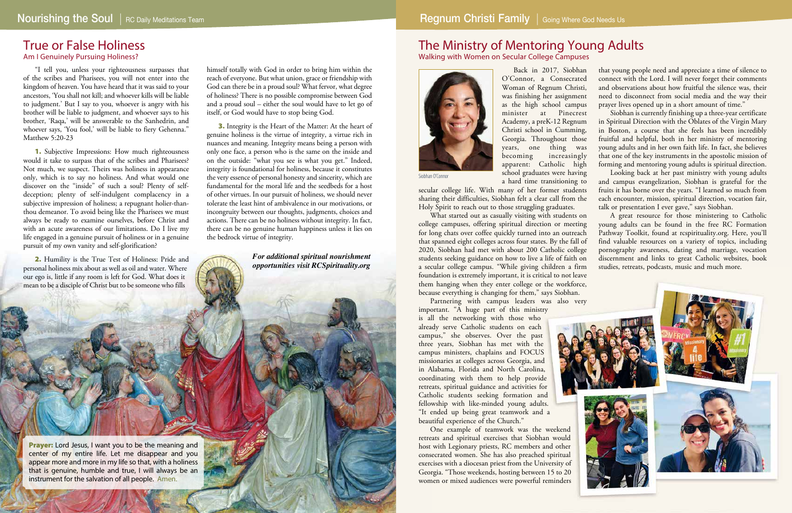### The Ministry of Mentoring Young Adults Walking with Women on Secular College Campuses



## True or False Holiness

Am I Genuinely Pursuing Holiness?

"I tell you, unless your righteousness surpasses that of the scribes and Pharisees, you will not enter into the kingdom of heaven. You have heard that it was said to your ancestors, 'You shall not kill; and whoever kills will be liable to judgment.' But I say to you, whoever is angry with his brother will be liable to judgment, and whoever says to his brother, 'Raqa,' will be answerable to the Sanhedrin, and whoever says, 'You fool,' will be liable to fiery Gehenna." Matthew 5:20-23

1. Subjective Impressions: How much righteousness would it take to surpass that of the scribes and Pharisees? Not much, we suspect. Theirs was holiness in appearance only, which is to say no holiness. And what would one discover on the "inside" of such a soul? Plenty of selfdeception; plenty of self-indulgent complacency in a subjective impression of holiness; a repugnant holier-thanthou demeanor. To avoid being like the Pharisees we must always be ready to examine ourselves, before Christ and with an acute awareness of our limitations. Do I live my life engaged in a genuine pursuit of holiness or in a genuine pursuit of my own vanity and self-glorification?

2. Humility is the True Test of Holiness: Pride and personal holiness mix about as well as oil and water. Where our ego is, little if any room is left for God. What does it mean to be a disciple of Christ but to be someone who fills

**Prayer:** Lord Jesus, I want you to be the meaning and center of my entire life. Let me disappear and you appear more and more in my life so that, with a holiness that is genuine, humble and true, I will always be an instrument for the salvation of all people. Amen.

himself totally with God in order to bring him within the reach of everyone. But what union, grace or friendship with God can there be in a proud soul? What fervor, what degree of holiness? There is no possible compromise between God and a proud soul – either the soul would have to let go of itself, or God would have to stop being God.

> Partnering with campus leaders was also very important. "A huge part of this ministry

3. Integrity is the Heart of the Matter: At the heart of genuine holiness is the virtue of integrity, a virtue rich in nuances and meaning. Integrity means being a person with only one face, a person who is the same on the inside and on the outside: "what you see is what you get." Indeed, integrity is foundational for holiness, because it constitutes the very essence of personal honesty and sincerity, which are fundamental for the moral life and the seedbeds for a host of other virtues. In our pursuit of holiness, we should never tolerate the least hint of ambivalence in our motivations, or incongruity between our thoughts, judgments, choices and actions. There can be no holiness without integrity. In fact, there can be no genuine human happiness unless it lies on the bedrock virtue of integrity.

> *For additional spiritual nourishment opportunities visit RCSpirituality.org*

Siobhan O'Connor a hard time transitioning to secular college life. With many of her former students sharing their difficulties, Siobhan felt a clear call from the Holy Spirit to reach out to those struggling graduates. Looking back at her past ministry with young adults and campus evangelization, Siobhan is grateful for the fruits it has borne over the years. "I learned so much from each encounter, mission, spiritual direction, vocation fair, talk or presentation I ever gave," says Siobhan.

Back in 2017, Siobhan O'Connor, a Consecrated Woman of Regnum Christi, was finishing her assignment as the high school campus minister at Pinecrest Academy, a preK-12 Regnum Christi school in Cumming, Georgia. Throughout those years, one thing was becoming increasingly apparent: Catholic high school graduates were having

is all the networking with those who already serve Catholic students on each campus," she observes. Over the past three years, Siobhan has met with the campus ministers, chaplains and FOCUS missionaries at colleges across Georgia, and in Alabama, Florida and North Carolina, coordinating with them to help provide retreats, spiritual guidance and activities for Catholic students seeking formation and fellowship with like-minded young adults. "It ended up being great teamwork and a beautiful experience of the Church."

One example of teamwork was the weekend retreats and spiritual exercises that Siobhan would host with Legionary priests, RC members and other consecrated women. She has also preached spiritual exercises with a diocesan priest from the University of Georgia. "Those weekends, hosting between 15 to 20 women or mixed audiences were powerful reminders



What started out as casually visiting with students on college campuses, offering spiritual direction or meeting for long chats over coffee quickly turned into an outreach that spanned eight colleges across four states. By the fall of 2020, Siobhan had met with about 200 Catholic college students seeking guidance on how to live a life of faith on a secular college campus. "While giving children a firm foundation is extremely important, it is critical to not leave them hanging when they enter college or the workforce, because everything is changing for them," says Siobhan. A great resource for those ministering to Catholic young adults can be found in the free RC Formation Pathway Toolkit, found at rcspirituality.org. Here, you'll find valuable resources on a variety of topics, including pornography awareness, dating and marriage, vocation discernment and links to great Catholic websites, book studies, retreats, podcasts, music and much more.

that young people need and appreciate a time of silence to connect with the Lord. I will never forget their comments and observations about how fruitful the silence was, their need to disconnect from social media and the way their prayer lives opened up in a short amount of time."

Siobhan is currently finishing up a three-year certificate in Spiritual Direction with the Oblates of the Virgin Mary in Boston, a course that she feels has been incredibly fruitful and helpful, both in her ministry of mentoring young adults and in her own faith life. In fact, she believes that one of the key instruments in the apostolic mission of forming and mentoring young adults is spiritual direction.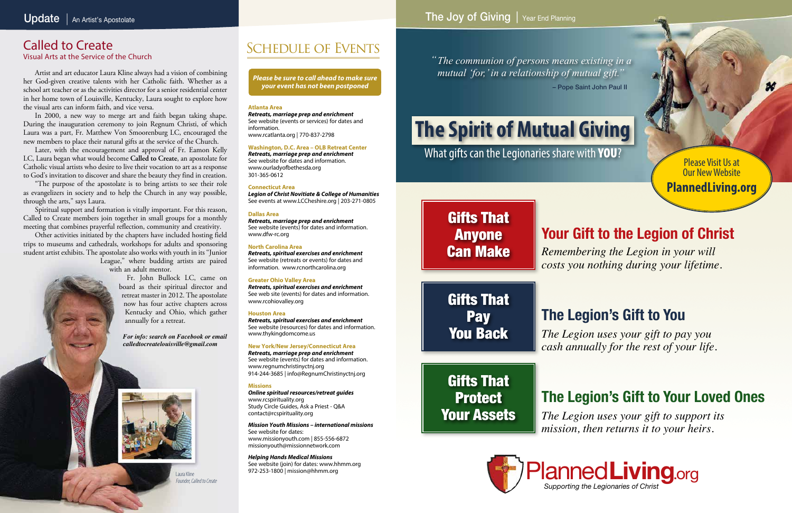### **Atlanta Area**

*Retreats, marriage prep and enrichment* See website (events or services) for dates and information. www.rcatlanta.org | 770-837-2798

### **Washington, D.C. Area – OLB Retreat Center**

*Retreats, marriage prep and enrichment* See website for dates and information. www.ourladyofbethesda.org

301-365-0612

### **Connecticut Area**

*Legion of Christ Novitiate & College of Humanities* See events at www.LCCheshire.org | 203-271-0805

### **Dallas Area**

*Retreats, marriage prep and enrichment* See website (events) for dates and information. www.dfw-rc.org

### **North Carolina Area**

*Retreats, spiritual exercises and enrichment* See website (retreats or events) for dates and information. www.rcnorthcarolina.org

### **Greater Ohio Valley Area**

*Retreats, spiritual exercises and enrichment* See web site (events) for dates and information. www.rcohiovalley.org

### **Houston Area**

*Retreats, spiritual exercises and enrichment* See website (resources) for dates and information. www.thykingdomcome.us

### **New York/New Jersey/Connecticut Area**

*Retreats, marriage prep and enrichment* See website (events) for dates and information. www.regnumchristinyctnj.org 914-244-3685 | info@RegnumChristinyctnj.org

### **Missions**

# Gifts That Protect Your Assets

*Online spiritual resources/retreat guides* www.rcspirituality.org Study Circle Guides, Ask a Priest - Q&A contact@rcspirituality.org

*Mission Youth Missions – international missions* See website for dates: www.missionyouth.com | 855-556-6872 missionyouth@missionnetwork.com

*Helping Hands Medical Missions* See website (join) for dates: www.hhmm.org 972-253-1800 | mission@hhmm.org

*Please be sure to call ahead to make sure your event has not been postponed*

## Called to Create

Visual Arts at the Service of the Church

*The communion of persons means existing in a " mutual 'for,' in a relationship of mutual gift."* – Pope Saint John Paul II

# **The Spirit of Mutual Giving**

What gifts can the Legionaries share with **YOU**?

*Remembering the Legion in your will costs you nothing during your lifetime.*

# **Your Gift to the Legion of Christ**

# **The Legion's Gift to You** *The Legion uses your gift to pay you*





*cash annually for the rest of your life.*

*The Legion uses your gift to support its mission, then returns it to your heirs.*

# **The Legion's Gift to Your Loved Ones**

# Gifts That Anyone Can Make

Gifts That Pay You Back

Please Visit Us at Our New Website **PlannedLiving.org**

Artist and art educator Laura Kline always had a vision of combining her God-given creative talents with her Catholic faith. Whether as a school art teacher or as the activities director for a senior residential center in her home town of Louisville, Kentucky, Laura sought to explore how the visual arts can inform faith, and vice versa.

In 2000, a new way to merge art and faith began taking shape. During the inauguration ceremony to join Regnum Christi, of which Laura was a part, Fr. Matthew Von Smoorenburg LC, encouraged the new members to place their natural gifts at the service of the Church.

Later, with the encouragement and approval of Fr. Eamon Kelly LC, Laura began what would become **Called to Create**, an apostolate for Catholic visual artists who desire to live their vocation to art as a response to God's invitation to discover and share the beauty they find in creation.

"The purpose of the apostolate is to bring artists to see their role as evangelizers in society and to help the Church in any way possible, through the arts," says Laura.

Spiritual support and formation is vitally important. For this reason, Called to Create members join together in small groups for a monthly meeting that combines prayerful reflection, community and creativity.

Other activities initiated by the chapters have included hosting field trips to museums and cathedrals, workshops for adults and sponsoring student artist exhibits. The apostolate also works with youth in its "Junior League," where budding artists are paired

with an adult mentor.

Fr. John Bullock LC, came on board as their spiritual director and retreat master in 2012. The apostolate now has four active chapters across Kentucky and Ohio, which gather annually for a retreat.

*For info: search on Facebook or email calledtocreatelouisville@gmail.com*



Laura Kline Founder, Called to Create

## SCHEDULE OF EVENTS